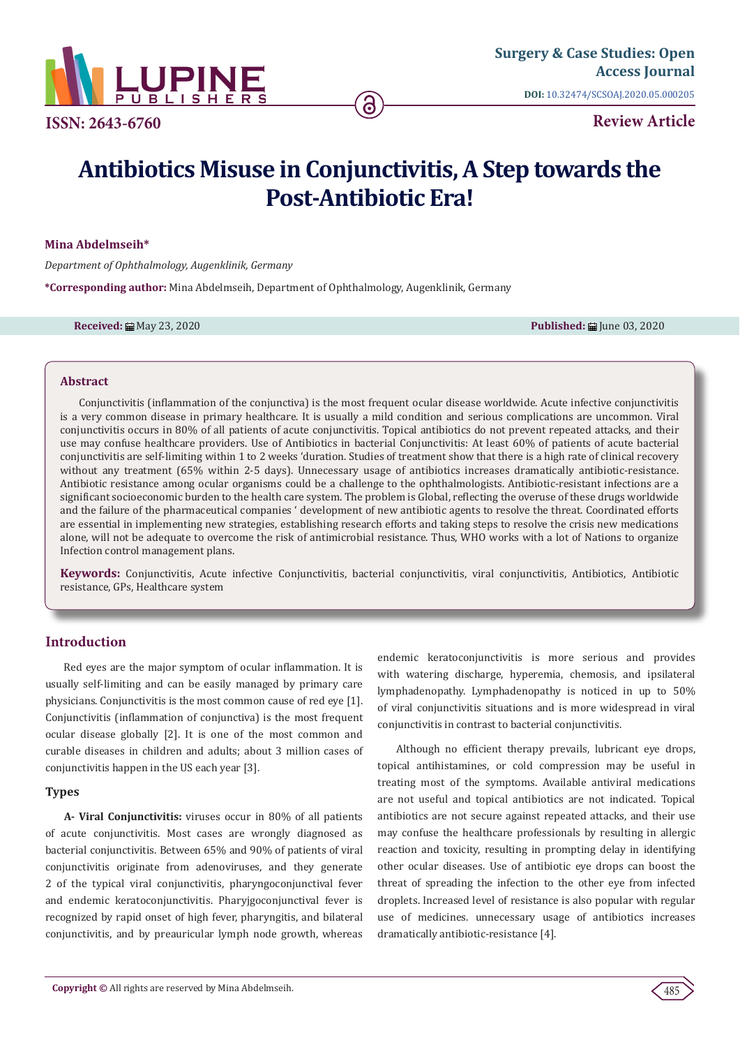

**Review Article**

# **Antibiotics Misuse in Conjunctivitis, A Step towards the Post-Antibiotic Era!**

## **Mina Abdelmseih\***

*Department of Ophthalmology, Augenklinik, Germany*

**\*Corresponding author:** Mina Abdelmseih, Department of Ophthalmology, Augenklinik, Germany

**Received:** ■ May 23, 2020 **Published:** ■ May 23, 2020 **Published: ■ June 03, 2020** 

#### **Abstract**

Conjunctivitis (inflammation of the conjunctiva) is the most frequent ocular disease worldwide. Acute infective conjunctivitis is a very common disease in primary healthcare. It is usually a mild condition and serious complications are uncommon. Viral conjunctivitis occurs in 80% of all patients of acute conjunctivitis. Topical antibiotics do not prevent repeated attacks, and their use may confuse healthcare providers. Use of Antibiotics in bacterial Conjunctivitis: At least 60% of patients of acute bacterial conjunctivitis are self-limiting within 1 to 2 weeks 'duration. Studies of treatment show that there is a high rate of clinical recovery without any treatment (65% within 2-5 days). Unnecessary usage of antibiotics increases dramatically antibiotic-resistance. Antibiotic resistance among ocular organisms could be a challenge to the ophthalmologists. Antibiotic-resistant infections are a significant socioeconomic burden to the health care system. The problem is Global, reflecting the overuse of these drugs worldwide and the failure of the pharmaceutical companies ' development of new antibiotic agents to resolve the threat. Coordinated efforts are essential in implementing new strategies, establishing research efforts and taking steps to resolve the crisis new medications alone, will not be adequate to overcome the risk of antimicrobial resistance. Thus, WHO works with a lot of Nations to organize Infection control management plans.

**Keywords:** Conjunctivitis, Acute infective Conjunctivitis, bacterial conjunctivitis, viral conjunctivitis, Antibiotics, Antibiotic resistance, GPs, Healthcare system

# **Introduction**

Red eyes are the major symptom of ocular inflammation. It is usually self-limiting and can be easily managed by primary care physicians. Conjunctivitis is the most common cause of red eye [1]. Conjunctivitis (inflammation of conjunctiva) is the most frequent ocular disease globally [2]. It is one of the most common and curable diseases in children and adults; about 3 million cases of conjunctivitis happen in the US each year [3].

#### **Types**

**A- Viral Conjunctivitis:** viruses occur in 80% of all patients of acute conjunctivitis. Most cases are wrongly diagnosed as bacterial conjunctivitis. Between 65% and 90% of patients of viral conjunctivitis originate from adenoviruses, and they generate 2 of the typical viral conjunctivitis, pharyngoconjunctival fever and endemic keratoconjunctivitis. Pharyjgoconjunctival fever is recognized by rapid onset of high fever, pharyngitis, and bilateral conjunctivitis, and by preauricular lymph node growth, whereas endemic keratoconjunctivitis is more serious and provides with watering discharge, hyperemia, chemosis, and ipsilateral lymphadenopathy. Lymphadenopathy is noticed in up to 50% of viral conjunctivitis situations and is more widespread in viral conjunctivitis in contrast to bacterial conjunctivitis.

Although no efficient therapy prevails, lubricant eye drops, topical antihistamines, or cold compression may be useful in treating most of the symptoms. Available antiviral medications are not useful and topical antibiotics are not indicated. Topical antibiotics are not secure against repeated attacks, and their use may confuse the healthcare professionals by resulting in allergic reaction and toxicity, resulting in prompting delay in identifying other ocular diseases. Use of antibiotic eye drops can boost the threat of spreading the infection to the other eye from infected droplets. Increased level of resistance is also popular with regular use of medicines. unnecessary usage of antibiotics increases dramatically antibiotic-resistance [4].

485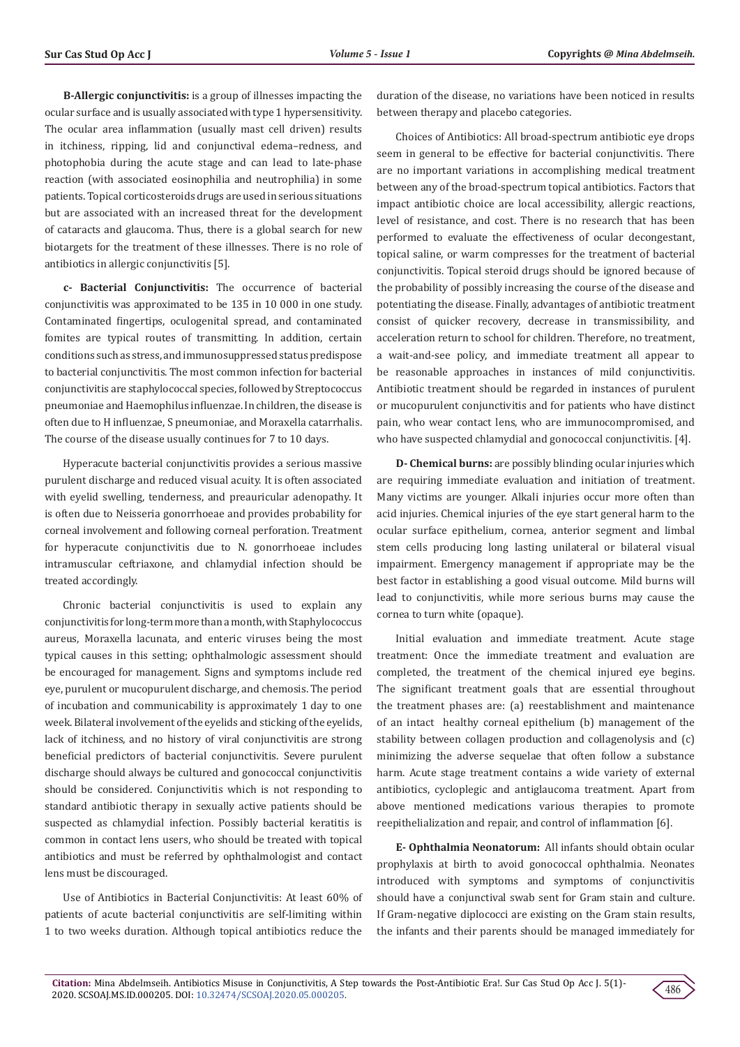**B-Allergic conjunctivitis:** is a group of illnesses impacting the ocular surface and is usually associated with type 1 hypersensitivity. The ocular area inflammation (usually mast cell driven) results in itchiness, ripping, lid and conjunctival edema–redness, and photophobia during the acute stage and can lead to late-phase reaction (with associated eosinophilia and neutrophilia) in some patients. Topical corticosteroids drugs are used in serious situations but are associated with an increased threat for the development of cataracts and glaucoma. Thus, there is a global search for new biotargets for the treatment of these illnesses. There is no role of antibiotics in allergic conjunctivitis [5].

**c- Bacterial Conjunctivitis:** The occurrence of bacterial conjunctivitis was approximated to be 135 in 10 000 in one study. Contaminated fingertips, oculogenital spread, and contaminated fomites are typical routes of transmitting. In addition, certain conditions such as stress, and immunosuppressed status predispose to bacterial conjunctivitis. The most common infection for bacterial conjunctivitis are staphylococcal species, followed by Streptococcus pneumoniae and Haemophilus influenzae. In children, the disease is often due to H influenzae, S pneumoniae, and Moraxella catarrhalis. The course of the disease usually continues for 7 to 10 days.

Hyperacute bacterial conjunctivitis provides a serious massive purulent discharge and reduced visual acuity. It is often associated with eyelid swelling, tenderness, and preauricular adenopathy. It is often due to Neisseria gonorrhoeae and provides probability for corneal involvement and following corneal perforation. Treatment for hyperacute conjunctivitis due to N. gonorrhoeae includes intramuscular ceftriaxone, and chlamydial infection should be treated accordingly.

Chronic bacterial conjunctivitis is used to explain any conjunctivitis for long-term more than a month, with Staphylococcus aureus, Moraxella lacunata, and enteric viruses being the most typical causes in this setting; ophthalmologic assessment should be encouraged for management. Signs and symptoms include red eye, purulent or mucopurulent discharge, and chemosis. The period of incubation and communicability is approximately 1 day to one week. Bilateral involvement of the eyelids and sticking of the eyelids, lack of itchiness, and no history of viral conjunctivitis are strong beneficial predictors of bacterial conjunctivitis. Severe purulent discharge should always be cultured and gonococcal conjunctivitis should be considered. Conjunctivitis which is not responding to standard antibiotic therapy in sexually active patients should be suspected as chlamydial infection. Possibly bacterial keratitis is common in contact lens users, who should be treated with topical antibiotics and must be referred by ophthalmologist and contact lens must be discouraged.

Use of Antibiotics in Bacterial Conjunctivitis: At least 60% of patients of acute bacterial conjunctivitis are self-limiting within 1 to two weeks duration. Although topical antibiotics reduce the

duration of the disease, no variations have been noticed in results between therapy and placebo categories.

Choices of Antibiotics: All broad-spectrum antibiotic eye drops seem in general to be effective for bacterial conjunctivitis. There are no important variations in accomplishing medical treatment between any of the broad-spectrum topical antibiotics. Factors that impact antibiotic choice are local accessibility, allergic reactions, level of resistance, and cost. There is no research that has been performed to evaluate the effectiveness of ocular decongestant, topical saline, or warm compresses for the treatment of bacterial conjunctivitis. Topical steroid drugs should be ignored because of the probability of possibly increasing the course of the disease and potentiating the disease. Finally, advantages of antibiotic treatment consist of quicker recovery, decrease in transmissibility, and acceleration return to school for children. Therefore, no treatment, a wait-and-see policy, and immediate treatment all appear to be reasonable approaches in instances of mild conjunctivitis. Antibiotic treatment should be regarded in instances of purulent or mucopurulent conjunctivitis and for patients who have distinct pain, who wear contact lens, who are immunocompromised, and who have suspected chlamydial and gonococcal conjunctivitis. [4].

**D- Chemical burns:** are possibly blinding ocular injuries which are requiring immediate evaluation and initiation of treatment. Many victims are younger. Alkali injuries occur more often than acid injuries. Chemical injuries of the eye start general harm to the ocular surface epithelium, cornea, anterior segment and limbal stem cells producing long lasting unilateral or bilateral visual impairment. Emergency management if appropriate may be the best factor in establishing a good visual outcome. Mild burns will lead to conjunctivitis, while more serious burns may cause the cornea to turn white (opaque).

Initial evaluation and immediate treatment. Acute stage treatment: Once the immediate treatment and evaluation are completed, the treatment of the chemical injured eye begins. The significant treatment goals that are essential throughout the treatment phases are: (a) reestablishment and maintenance of an intact healthy corneal epithelium (b) management of the stability between collagen production and collagenolysis and (c) minimizing the adverse sequelae that often follow a substance harm. Acute stage treatment contains a wide variety of external antibiotics, cycloplegic and antiglaucoma treatment. Apart from above mentioned medications various therapies to promote reepithelialization and repair, and control of inflammation [6].

**E- Ophthalmia Neonatorum:** All infants should obtain ocular prophylaxis at birth to avoid gonococcal ophthalmia. Neonates introduced with symptoms and symptoms of conjunctivitis should have a conjunctival swab sent for Gram stain and culture. If Gram-negative diplococci are existing on the Gram stain results, the infants and their parents should be managed immediately for

486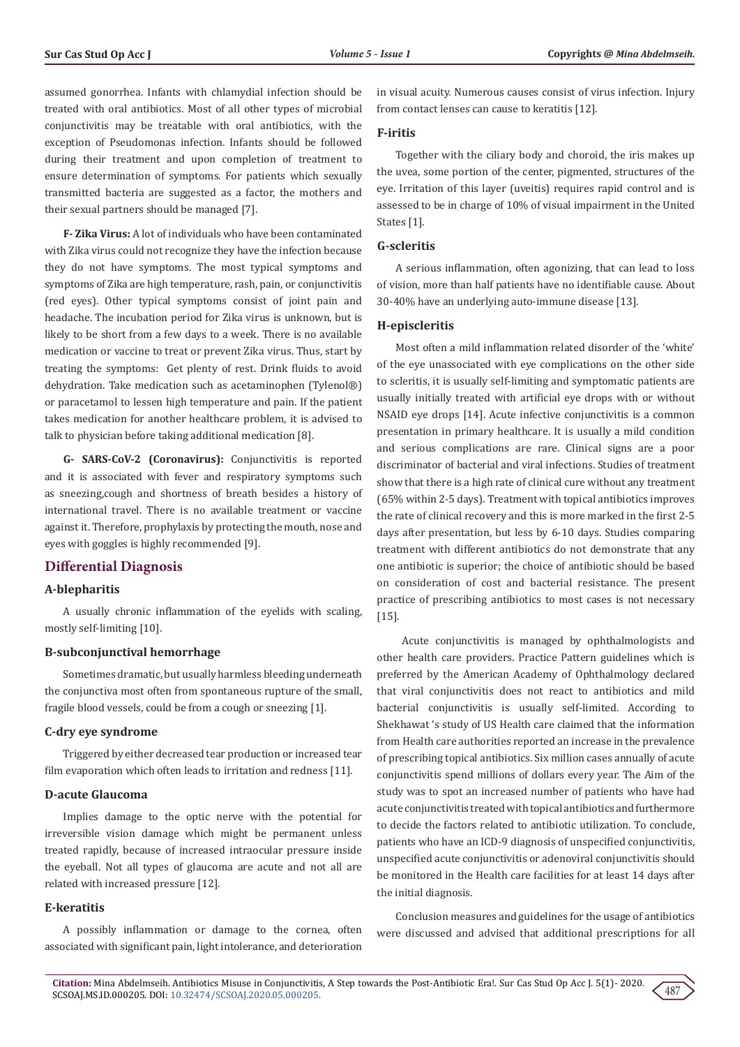assumed gonorrhea. Infants with chlamydial infection should be treated with oral antibiotics. Most of all other types of microbial conjunctivitis may be treatable with oral antibiotics, with the exception of Pseudomonas infection. Infants should be followed during their treatment and upon completion of treatment to ensure determination of symptoms. For patients which sexually transmitted bacteria are suggested as a factor, the mothers and their sexual partners should be managed [7].

**F- Zika Virus:** A lot of individuals who have been contaminated with Zika virus could not recognize they have the infection because they do not have symptoms. The most typical symptoms and symptoms of Zika are high temperature, rash, pain, or conjunctivitis (red eyes). Other typical symptoms consist of joint pain and headache. The incubation period for Zika virus is unknown, but is likely to be short from a few days to a week. There is no available medication or vaccine to treat or prevent Zika virus. Thus, start by treating the symptoms: Get plenty of rest. Drink fluids to avoid dehydration. Take medication such as acetaminophen (Tylenol®) or paracetamol to lessen high temperature and pain. If the patient takes medication for another healthcare problem, it is advised to talk to physician before taking additional medication [8].

**G- SARS-CoV-2 (Coronavirus):** Conjunctivitis is reported and it is associated with fever and respiratory symptoms such as sneezing,cough and shortness of breath besides a history of international travel. There is no available treatment or vaccine against it. Therefore, prophylaxis by protecting the mouth, nose and eyes with goggles is highly recommended [9].

## **Differential Diagnosis**

#### **A-blepharitis**

A usually chronic inflammation of the eyelids with scaling, mostly self-limiting [10].

#### **B-subconjunctival hemorrhage**

Sometimes dramatic, but usually harmless bleeding underneath the conjunctiva most often from spontaneous rupture of the small, fragile blood vessels, could be from a cough or sneezing [1].

#### **C-dry eye syndrome**

Triggered by either decreased tear production or increased tear film evaporation which often leads to irritation and redness [11].

#### **D-acute Glaucoma**

Implies damage to the optic nerve with the potential for irreversible vision damage which might be permanent unless treated rapidly, because of increased intraocular pressure inside the eyeball. Not all types of glaucoma are acute and not all are related with increased pressure [12].

## **E-keratitis**

A possibly inflammation or damage to the cornea, often associated with significant pain, light intolerance, and deterioration in visual acuity. Numerous causes consist of virus infection. Injury from contact lenses can cause to keratitis [12].

## **F-iritis**

Together with the ciliary body and choroid, the iris makes up the uvea, some portion of the center, pigmented, structures of the eye. Irritation of this layer (uveitis) requires rapid control and is assessed to be in charge of 10% of visual impairment in the United States [1].

## **G-scleritis**

A serious inflammation, often agonizing, that can lead to loss of vision, more than half patients have no identifiable cause. About 30-40% have an underlying auto-immune disease [13].

#### **H-episcleritis**

Most often a mild inflammation related disorder of the 'white' of the eye unassociated with eye complications on the other side to scleritis, it is usually self-limiting and symptomatic patients are usually initially treated with artificial eye drops with or without NSAID eye drops [14]. Acute infective conjunctivitis is a common presentation in primary healthcare. It is usually a mild condition and serious complications are rare. Clinical signs are a poor discriminator of bacterial and viral infections. Studies of treatment show that there is a high rate of clinical cure without any treatment (65% within 2-5 days). Treatment with topical antibiotics improves the rate of clinical recovery and this is more marked in the first 2-5 days after presentation, but less by 6-10 days. Studies comparing treatment with different antibiotics do not demonstrate that any one antibiotic is superior; the choice of antibiotic should be based on consideration of cost and bacterial resistance. The present practice of prescribing antibiotics to most cases is not necessary [15].

 Acute conjunctivitis is managed by ophthalmologists and other health care providers. Practice Pattern guidelines which is preferred by the American Academy of Ophthalmology declared that viral conjunctivitis does not react to antibiotics and mild bacterial conjunctivitis is usually self-limited. According to Shekhawat 's study of US Health care claimed that the information from Health care authorities reported an increase in the prevalence of prescribing topical antibiotics. Six million cases annually of acute conjunctivitis spend millions of dollars every year. The Aim of the study was to spot an increased number of patients who have had acute conjunctivitis treated with topical antibiotics and furthermore to decide the factors related to antibiotic utilization. To conclude, patients who have an ICD-9 diagnosis of unspecified conjunctivitis, unspecified acute conjunctivitis or adenoviral conjunctivitis should be monitored in the Health care facilities for at least 14 days after the initial diagnosis.

Conclusion measures and guidelines for the usage of antibiotics were discussed and advised that additional prescriptions for all

487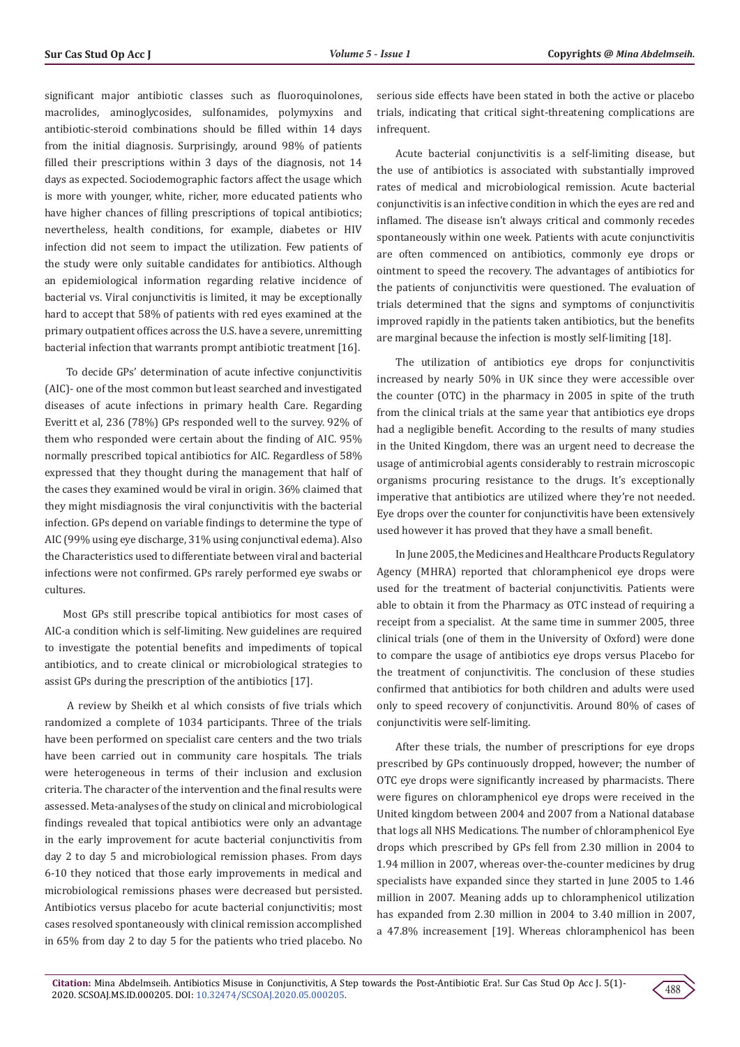significant major antibiotic classes such as fluoroquinolones, macrolides, aminoglycosides, sulfonamides, polymyxins and antibiotic-steroid combinations should be filled within 14 days from the initial diagnosis. Surprisingly, around 98% of patients filled their prescriptions within 3 days of the diagnosis, not 14 days as expected. Sociodemographic factors affect the usage which is more with younger, white, richer, more educated patients who have higher chances of filling prescriptions of topical antibiotics; nevertheless, health conditions, for example, diabetes or HIV infection did not seem to impact the utilization. Few patients of the study were only suitable candidates for antibiotics. Although an epidemiological information regarding relative incidence of bacterial vs. Viral conjunctivitis is limited, it may be exceptionally hard to accept that 58% of patients with red eyes examined at the primary outpatient offices across the U.S. have a severe, unremitting bacterial infection that warrants prompt antibiotic treatment [16].

 To decide GPs' determination of acute infective conjunctivitis (AIC)- one of the most common but least searched and investigated diseases of acute infections in primary health Care. Regarding Everitt et al, 236 (78%) GPs responded well to the survey. 92% of them who responded were certain about the finding of AIC. 95% normally prescribed topical antibiotics for AIC. Regardless of 58% expressed that they thought during the management that half of the cases they examined would be viral in origin. 36% claimed that they might misdiagnosis the viral conjunctivitis with the bacterial infection. GPs depend on variable findings to determine the type of AIC (99% using eye discharge, 31% using conjunctival edema). Also the Characteristics used to differentiate between viral and bacterial infections were not confirmed. GPs rarely performed eye swabs or cultures.

Most GPs still prescribe topical antibiotics for most cases of AIC-a condition which is self-limiting. New guidelines are required to investigate the potential benefits and impediments of topical antibiotics, and to create clinical or microbiological strategies to assist GPs during the prescription of the antibiotics [17].

 A review by Sheikh et al which consists of five trials which randomized a complete of 1034 participants. Three of the trials have been performed on specialist care centers and the two trials have been carried out in community care hospitals. The trials were heterogeneous in terms of their inclusion and exclusion criteria. The character of the intervention and the final results were assessed. Meta-analyses of the study on clinical and microbiological findings revealed that topical antibiotics were only an advantage in the early improvement for acute bacterial conjunctivitis from day 2 to day 5 and microbiological remission phases. From days 6-10 they noticed that those early improvements in medical and microbiological remissions phases were decreased but persisted. Antibiotics versus placebo for acute bacterial conjunctivitis; most cases resolved spontaneously with clinical remission accomplished in 65% from day 2 to day 5 for the patients who tried placebo. No

serious side effects have been stated in both the active or placebo trials, indicating that critical sight-threatening complications are infrequent.

Acute bacterial conjunctivitis is a self-limiting disease, but the use of antibiotics is associated with substantially improved rates of medical and microbiological remission. Acute bacterial conjunctivitis is an infective condition in which the eyes are red and inflamed. The disease isn't always critical and commonly recedes spontaneously within one week. Patients with acute conjunctivitis are often commenced on antibiotics, commonly eye drops or ointment to speed the recovery. The advantages of antibiotics for the patients of conjunctivitis were questioned. The evaluation of trials determined that the signs and symptoms of conjunctivitis improved rapidly in the patients taken antibiotics, but the benefits are marginal because the infection is mostly self-limiting [18].

The utilization of antibiotics eye drops for conjunctivitis increased by nearly 50% in UK since they were accessible over the counter (OTC) in the pharmacy in 2005 in spite of the truth from the clinical trials at the same year that antibiotics eye drops had a negligible benefit. According to the results of many studies in the United Kingdom, there was an urgent need to decrease the usage of antimicrobial agents considerably to restrain microscopic organisms procuring resistance to the drugs. It's exceptionally imperative that antibiotics are utilized where they're not needed. Eye drops over the counter for conjunctivitis have been extensively used however it has proved that they have a small benefit.

In June 2005, the Medicines and Healthcare Products Regulatory Agency (MHRA) reported that chloramphenicol eye drops were used for the treatment of bacterial conjunctivitis. Patients were able to obtain it from the Pharmacy as OTC instead of requiring a receipt from a specialist. At the same time in summer 2005, three clinical trials (one of them in the University of Oxford) were done to compare the usage of antibiotics eye drops versus Placebo for the treatment of conjunctivitis. The conclusion of these studies confirmed that antibiotics for both children and adults were used only to speed recovery of conjunctivitis. Around 80% of cases of conjunctivitis were self-limiting.

After these trials, the number of prescriptions for eye drops prescribed by GPs continuously dropped, however; the number of OTC eye drops were significantly increased by pharmacists. There were figures on chloramphenicol eye drops were received in the United kingdom between 2004 and 2007 from a National database that logs all NHS Medications. The number of chloramphenicol Eye drops which prescribed by GPs fell from 2.30 million in 2004 to 1.94 million in 2007, whereas over-the-counter medicines by drug specialists have expanded since they started in June 2005 to 1.46 million in 2007. Meaning adds up to chloramphenicol utilization has expanded from 2.30 million in 2004 to 3.40 million in 2007, a 47.8% increasement [19]. Whereas chloramphenicol has been

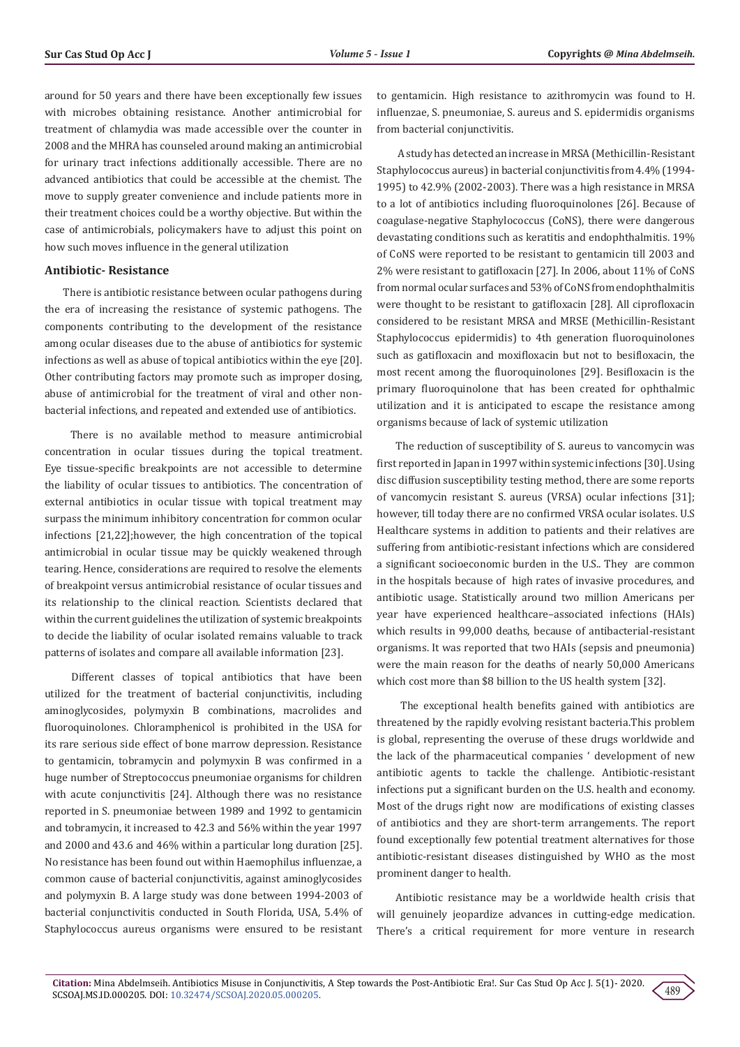around for 50 years and there have been exceptionally few issues with microbes obtaining resistance. Another antimicrobial for treatment of chlamydia was made accessible over the counter in 2008 and the MHRA has counseled around making an antimicrobial for urinary tract infections additionally accessible. There are no advanced antibiotics that could be accessible at the chemist. The move to supply greater convenience and include patients more in their treatment choices could be a worthy objective. But within the case of antimicrobials, policymakers have to adjust this point on how such moves influence in the general utilization

## **Antibiotic- Resistance**

There is antibiotic resistance between ocular pathogens during the era of increasing the resistance of systemic pathogens. The components contributing to the development of the resistance among ocular diseases due to the abuse of antibiotics for systemic infections as well as abuse of topical antibiotics within the eye [20]. Other contributing factors may promote such as improper dosing, abuse of antimicrobial for the treatment of viral and other nonbacterial infections, and repeated and extended use of antibiotics.

 There is no available method to measure antimicrobial concentration in ocular tissues during the topical treatment. Eye tissue-specific breakpoints are not accessible to determine the liability of ocular tissues to antibiotics. The concentration of external antibiotics in ocular tissue with topical treatment may surpass the minimum inhibitory concentration for common ocular infections [21,22];however, the high concentration of the topical antimicrobial in ocular tissue may be quickly weakened through tearing. Hence, considerations are required to resolve the elements of breakpoint versus antimicrobial resistance of ocular tissues and its relationship to the clinical reaction. Scientists declared that within the current guidelines the utilization of systemic breakpoints to decide the liability of ocular isolated remains valuable to track patterns of isolates and compare all available information [23].

 Different classes of topical antibiotics that have been utilized for the treatment of bacterial conjunctivitis, including aminoglycosides, polymyxin B combinations, macrolides and fluoroquinolones. Chloramphenicol is prohibited in the USA for its rare serious side effect of bone marrow depression. Resistance to gentamicin, tobramycin and polymyxin B was confirmed in a huge number of Streptococcus pneumoniae organisms for children with acute conjunctivitis [24]. Although there was no resistance reported in S. pneumoniae between 1989 and 1992 to gentamicin and tobramycin, it increased to 42.3 and 56% within the year 1997 and 2000 and 43.6 and 46% within a particular long duration [25]. No resistance has been found out within Haemophilus influenzae, a common cause of bacterial conjunctivitis, against aminoglycosides and polymyxin B. A large study was done between 1994-2003 of bacterial conjunctivitis conducted in South Florida, USA, 5.4% of Staphylococcus aureus organisms were ensured to be resistant

to gentamicin. High resistance to azithromycin was found to H. influenzae, S. pneumoniae, S. aureus and S. epidermidis organisms from bacterial conjunctivitis.

 A study has detected an increase in MRSA (Methicillin-Resistant Staphylococcus aureus) in bacterial conjunctivitis from 4.4% (1994- 1995) to 42.9% (2002-2003). There was a high resistance in MRSA to a lot of antibiotics including fluoroquinolones [26]. Because of coagulase-negative Staphylococcus (CoNS), there were dangerous devastating conditions such as keratitis and endophthalmitis. 19% of CoNS were reported to be resistant to gentamicin till 2003 and 2% were resistant to gatifloxacin [27]. In 2006, about 11% of CoNS from normal ocular surfaces and 53% of CoNS from endophthalmitis were thought to be resistant to gatifloxacin [28]. All ciprofloxacin considered to be resistant MRSA and MRSE (Methicillin-Resistant Staphylococcus epidermidis) to 4th generation fluoroquinolones such as gatifloxacin and moxifloxacin but not to besifloxacin, the most recent among the fluoroquinolones [29]. Besifloxacin is the primary fluoroquinolone that has been created for ophthalmic utilization and it is anticipated to escape the resistance among organisms because of lack of systemic utilization

The reduction of susceptibility of S. aureus to vancomycin was first reported in Japan in 1997 within systemic infections [30]. Using disc diffusion susceptibility testing method, there are some reports of vancomycin resistant S. aureus (VRSA) ocular infections [31]; however, till today there are no confirmed VRSA ocular isolates. U.S Healthcare systems in addition to patients and their relatives are suffering from antibiotic-resistant infections which are considered a significant socioeconomic burden in the U.S.. They are common in the hospitals because of high rates of invasive procedures, and antibiotic usage. Statistically around two million Americans per year have experienced healthcare–associated infections (HAIs) which results in 99,000 deaths, because of antibacterial-resistant organisms. It was reported that two HAIs (sepsis and pneumonia) were the main reason for the deaths of nearly 50,000 Americans which cost more than \$8 billion to the US health system [32].

 The exceptional health benefits gained with antibiotics are threatened by the rapidly evolving resistant bacteria.This problem is global, representing the overuse of these drugs worldwide and the lack of the pharmaceutical companies ' development of new antibiotic agents to tackle the challenge. Antibiotic-resistant infections put a significant burden on the U.S. health and economy. Most of the drugs right now are modifications of existing classes of antibiotics and they are short-term arrangements. The report found exceptionally few potential treatment alternatives for those antibiotic-resistant diseases distinguished by WHO as the most prominent danger to health.

Antibiotic resistance may be a worldwide health crisis that will genuinely jeopardize advances in cutting-edge medication. There's a critical requirement for more venture in research

489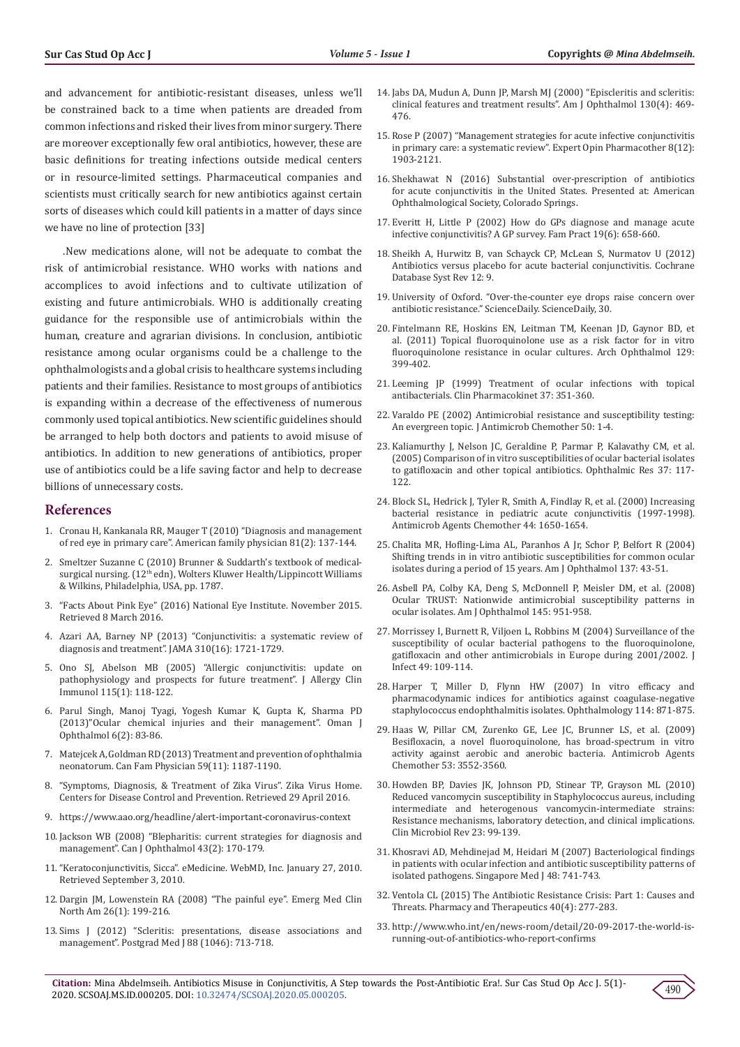and advancement for antibiotic-resistant diseases, unless we'll be constrained back to a time when patients are dreaded from common infections and risked their lives from minor surgery. There are moreover exceptionally few oral antibiotics, however, these are basic definitions for treating infections outside medical centers or in resource-limited settings. Pharmaceutical companies and scientists must critically search for new antibiotics against certain sorts of diseases which could kill patients in a matter of days since we have no line of protection [33]

.New medications alone, will not be adequate to combat the risk of antimicrobial resistance. WHO works with nations and accomplices to avoid infections and to cultivate utilization of existing and future antimicrobials. WHO is additionally creating guidance for the responsible use of antimicrobials within the human, creature and agrarian divisions. In conclusion, antibiotic resistance among ocular organisms could be a challenge to the ophthalmologists and a global crisis to healthcare systems including patients and their families. Resistance to most groups of antibiotics is expanding within a decrease of the effectiveness of numerous commonly used topical antibiotics. New scientific guidelines should be arranged to help both doctors and patients to avoid misuse of antibiotics. In addition to new generations of antibiotics, proper use of antibiotics could be a life saving factor and help to decrease billions of unnecessary costs.

### **References**

- 1. [Cronau H, Kankanala RR, Mauger T \(2010\) "Diagnosis and management](https://www.aafp.org/afp/2010/0115/p137.html)  [of red eye in primary care". American family physician 81\(2\): 137-144.](https://www.aafp.org/afp/2010/0115/p137.html)
- 2. Smeltzer Suzanne C (2010) Brunner & Suddarth's textbook of medicalsurgical nursing. (12<sup>th</sup> edn), Wolters Kluwer Health/Lippincott Williams & Wilkins, Philadelphia, USA, pp. 1787.
- 3. "Facts About Pink Eye" (2016) National Eye Institute. November 2015. Retrieved 8 March 2016.
- 4. [Azari AA, Barney NP \(2013\) "Conjunctivitis: a systematic review of](https://pubmed.ncbi.nlm.nih.gov/24150468/)  [diagnosis and treatment". JAMA 310\(16\): 1721-1729.](https://pubmed.ncbi.nlm.nih.gov/24150468/)
- 5. [Ono SJ, Abelson MB \(2005\) "Allergic conjunctivitis: update on](https://pubmed.ncbi.nlm.nih.gov/15637556/)  [pathophysiology and prospects for future treatment". J Allergy Clin](https://pubmed.ncbi.nlm.nih.gov/15637556/)  [Immunol 115\(1\): 118-122.](https://pubmed.ncbi.nlm.nih.gov/15637556/)
- 6. [Parul Singh, Manoj Tyagi, Yogesh Kumar K, Gupta K, Sharma PD](https://pubmed.ncbi.nlm.nih.gov/24082664/)  [\(2013\)"Ocular chemical injuries and their management". Oman J](https://pubmed.ncbi.nlm.nih.gov/24082664/)  [Ophthalmol 6\(2\): 83-86.](https://pubmed.ncbi.nlm.nih.gov/24082664/)
- 7. Matejcek A, Goldman RD (2013) Treatment and prevention of ophthalmia neonatorum. Can Fam Physician 59(11): 1187-1190.
- 8. "Symptoms, Diagnosis, & Treatment of Zika Virus". Zika Virus Home. Centers for Disease Control and Prevention. Retrieved 29 April 2016.
- 9. https://www.aao.org/headline/alert-important-coronavirus-context
- 10. [Jackson WB \(2008\) "Blepharitis: current strategies for diagnosis and](https://pubmed.ncbi.nlm.nih.gov/18347619/)  [management". Can J Ophthalmol 43\(2\): 170-179.](https://pubmed.ncbi.nlm.nih.gov/18347619/)
- 11."Keratoconjunctivitis, Sicca". eMedicine. WebMD, Inc. January 27, 2010. Retrieved September 3, 2010.
- 12. Dargin JM, Lowenstein RA (2008) "The painful eye". Emerg Med Clin North Am 26(1): 199-216.
- 13. Sims J (2012) "Scleritis: presentations, disease associations and management". Postgrad Med J 88 (1046): 713-718.
- 14. [Jabs DA, Mudun A, Dunn JP, Marsh MJ \(2000\) "Episcleritis and scleritis:](https://pubmed.ncbi.nlm.nih.gov/11024419/) [clinical features and treatment results". Am J Ophthalmol 130\(4\): 469-](https://pubmed.ncbi.nlm.nih.gov/11024419/) [476.](https://pubmed.ncbi.nlm.nih.gov/11024419/)
- 15. [Rose P \(2007\) "Management strategies for acute infective conjunctivitis](https://pubmed.ncbi.nlm.nih.gov/17696792/) [in primary care: a systematic review". Expert Opin Pharmacother 8\(12\):](https://pubmed.ncbi.nlm.nih.gov/17696792/) [1903-2121.](https://pubmed.ncbi.nlm.nih.gov/17696792/)
- 16. Shekhawat N (2016) Substantial over-prescription of antibiotics for acute conjunctivitis in the United States. Presented at: American Ophthalmological Society, Colorado Springs.
- 17. Everitt H, Little P (2002) How do GPs diagnose and manage acute infective conjunctivitis? A GP survey. Fam Pract 19(6): 658-660.
- 18. Sheikh A, Hurwitz B, van Schayck CP, McLean S, Nurmatov U (2012) Antibiotics versus placebo for acute bacterial conjunctivitis. Cochrane Database Syst Rev 12: 9.
- 19. University of Oxford. "Over-the-counter eye drops raise concern over antibiotic resistance." ScienceDaily. ScienceDaily, 30.
- 20. [Fintelmann RE, Hoskins EN, Leitman TM, Keenan JD, Gaynor BD, et](https://pubmed.ncbi.nlm.nih.gov/21482865/) [al. \(2011\) Topical fluoroquinolone use as a risk factor for in vitro](https://pubmed.ncbi.nlm.nih.gov/21482865/) [fluoroquinolone resistance in ocular cultures. Arch Ophthalmol 129:](https://pubmed.ncbi.nlm.nih.gov/21482865/) [399-402.](https://pubmed.ncbi.nlm.nih.gov/21482865/)
- 21. Leeming JP (1999) Treatment of ocular infections with topical antibacterials. Clin Pharmacokinet 37: 351-360.
- 22. [Varaldo PE \(2002\) Antimicrobial resistance and susceptibility testing:](https://pubmed.ncbi.nlm.nih.gov/12095999/) [An evergreen topic. J Antimicrob Chemother 50: 1-4.](https://pubmed.ncbi.nlm.nih.gov/12095999/)
- 23. [Kaliamurthy J, Nelson JC, Geraldine P, Parmar P, Kalavathy CM, et al.](https://pubmed.ncbi.nlm.nih.gov/15746568/) [\(2005\) Comparison of in vitro susceptibilities of ocular bacterial isolates](https://pubmed.ncbi.nlm.nih.gov/15746568/) [to gatifloxacin and other topical antibiotics. Ophthalmic Res 37: 117-](https://pubmed.ncbi.nlm.nih.gov/15746568/) [122.](https://pubmed.ncbi.nlm.nih.gov/15746568/)
- 24. [Block SL, Hedrick J, Tyler R, Smith A, Findlay R, et al. \(2000\) Increasing](https://pubmed.ncbi.nlm.nih.gov/10817723/) [bacterial resistance in pediatric acute conjunctivitis \(1997-1998\).](https://pubmed.ncbi.nlm.nih.gov/10817723/) [Antimicrob Agents Chemother 44: 1650-1654.](https://pubmed.ncbi.nlm.nih.gov/10817723/)
- 25. [Chalita MR, Hofling-Lima AL, Paranhos A Jr, Schor P, Belfort R \(2004\)](https://pubmed.ncbi.nlm.nih.gov/14700643/https:/pubmed.ncbi.nlm.nih.gov/10817723/) [Shifting trends in in vitro antibiotic susceptibilities for common ocular](https://pubmed.ncbi.nlm.nih.gov/14700643/https:/pubmed.ncbi.nlm.nih.gov/10817723/) [isolates during a period of 15 years. Am J Ophthalmol 137: 43-51.](https://pubmed.ncbi.nlm.nih.gov/14700643/https:/pubmed.ncbi.nlm.nih.gov/10817723/)
- 26. Asbell PA, Colby KA, Deng S, McDonnell P, Meisler DM, et al. (2008) Ocular TRUST: Nationwide antimicrobial susceptibility patterns in ocular isolates. Am J Ophthalmol 145: 951-958.
- 27. [Morrissey I, Burnett R, Viljoen L, Robbins M \(2004\) Surveillance of the](https://pubmed.ncbi.nlm.nih.gov/15236917/) [susceptibility of ocular bacterial pathogens to the fluoroquinolone,](https://pubmed.ncbi.nlm.nih.gov/15236917/) [gatifloxacin and other antimicrobials in Europe during 2001/2002. J](https://pubmed.ncbi.nlm.nih.gov/15236917/) [Infect 49: 109-114.](https://pubmed.ncbi.nlm.nih.gov/15236917/)
- 28. Harper T, Miller D, Flynn HW (2007) In vitro efficacy and pharmacodynamic indices for antibiotics against coagulase-negative staphylococcus endophthalmitis isolates. Ophthalmology 114: 871-875.
- 29. [Haas W, Pillar CM, Zurenko GE, Lee JC, Brunner LS, et al. \(2009\)](https://pubmed.ncbi.nlm.nih.gov/19506065/) [Besifloxacin, a novel fluoroquinolone, has broad-spectrum in vitro](https://pubmed.ncbi.nlm.nih.gov/19506065/) [activity against aerobic and anerobic bacteria. Antimicrob Agents](https://pubmed.ncbi.nlm.nih.gov/19506065/) [Chemother 53: 3552-3560.](https://pubmed.ncbi.nlm.nih.gov/19506065/)
- 30. [Howden BP, Davies JK, Johnson PD, Stinear TP, Grayson ML \(2010\)](https://pubmed.ncbi.nlm.nih.gov/20065327/) [Reduced vancomycin susceptibility in Staphylococcus aureus, including](https://pubmed.ncbi.nlm.nih.gov/20065327/) [intermediate and heterogenous vancomycin-intermediate strains:](https://pubmed.ncbi.nlm.nih.gov/20065327/) [Resistance mechanisms, laboratory detection, and clinical implications.](https://pubmed.ncbi.nlm.nih.gov/20065327/) [Clin Microbiol Rev 23: 99-139.](https://pubmed.ncbi.nlm.nih.gov/20065327/)
- 31. [Khosravi AD, Mehdinejad M, Heidari M \(2007\) Bacteriological findings](https://pubmed.ncbi.nlm.nih.gov/17657382/) [in patients with ocular infection and antibiotic susceptibility patterns of](https://pubmed.ncbi.nlm.nih.gov/17657382/) [isolated pathogens. Singapore Med J 48: 741-743.](https://pubmed.ncbi.nlm.nih.gov/17657382/)
- 32. [Ventola CL \(2015\) The Antibiotic Resistance Crisis: Part 1: Causes and](https://pubmed.ncbi.nlm.nih.gov/25859123/) [Threats. Pharmacy and Therapeutics 40\(4\): 277-283.](https://pubmed.ncbi.nlm.nih.gov/25859123/)
- 33. http://www.who.int/en/news-room/detail/20-09-2017-the-world-isrunning-out-of-antibiotics-who-report-confirms